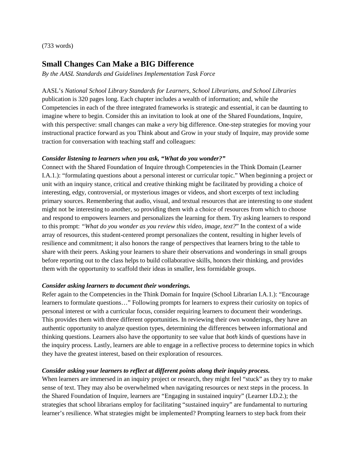(733 words)

## **Small Changes Can Make a BIG Difference**

*By the AASL Standards and Guidelines Implementation Task Force*

AASL's *National School Library Standards for Learners, School Librarians, and School Libraries* publication is 320 pages long. Each chapter includes a wealth of information; and, while the Competencies in each of the three integrated frameworks is strategic and essential, it can be daunting to imagine where to begin. Consider this an invitation to look at one of the Shared Foundations, Inquire, with this perspective: small changes can make a *very* big difference. One-step strategies for moving your instructional practice forward as you Think about and Grow in your study of Inquire, may provide some traction for conversation with teaching staff and colleagues:

## *Consider listening to learners when you ask, "What do you wonder?"*

Connect with the Shared Foundation of Inquire through Competencies in the Think Domain (Learner I.A.1.): "formulating questions about a personal interest or curricular topic." When beginning a project or unit with an inquiry stance, critical and creative thinking might be facilitated by providing a choice of interesting, edgy, controversial, or mysterious images or videos, and short excerpts of text including primary sources. Remembering that audio, visual, and textual resources that are interesting to one student might not be interesting to another, so providing them with a choice of resources from which to choose and respond to empowers learners and personalizes the learning for them. Try asking learners to respond to this prompt: *"What do you wonder as you review this video, image, text?*" In the context of a wide array of resources, this student-centered prompt personalizes the content, resulting in higher levels of resilience and commitment; it also honors the range of perspectives that learners bring to the table to share with their peers. Asking your learners to share their observations and wonderings in small groups before reporting out to the class helps to build collaborative skills, honors their thinking, and provides them with the opportunity to scaffold their ideas in smaller, less formidable groups.

## *Consider asking learners to document their wonderings.*

Refer again to the Competencies in the Think Domain for Inquire (School Librarian I.A.1.): "Encourage learners to formulate questions…" Following prompts for learners to express their curiosity on topics of personal interest or with a curricular focus, consider requiring learners to document their wonderings. This provides them with three different opportunities. In reviewing their own wonderings, they have an authentic opportunity to analyze question types, determining the differences between informational and thinking questions. Learners also have the opportunity to see value that *both* kinds of questions have in the inquiry process. Lastly, learners are able to engage in a reflective process to determine topics in which they have the greatest interest, based on their exploration of resources.

## *Consider asking your learners to reflect at different points along their inquiry process.*

When learners are immersed in an inquiry project or research, they might feel "stuck" as they try to make sense of text. They may also be overwhelmed when navigating resources or next steps in the process. In the Shared Foundation of Inquire, learners are "Engaging in sustained inquiry" (Learner I.D.2.); the strategies that school librarians employ for facilitating "sustained inquiry" are fundamental to nurturing learner's resilience. What strategies might be implemented? Prompting learners to step back from their